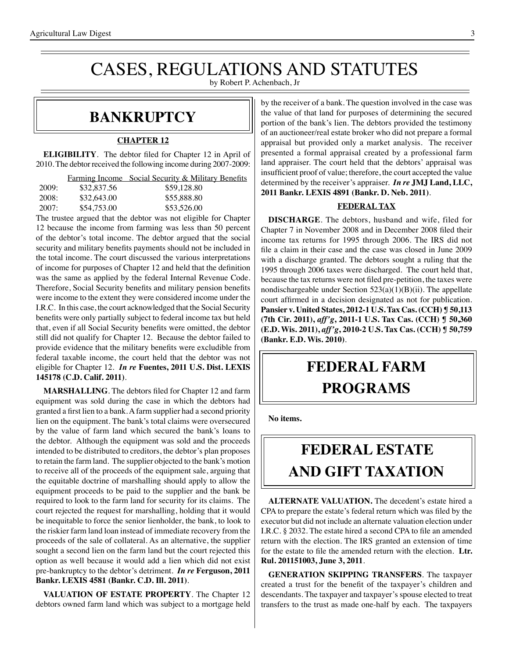# CASES, REGULATIONS AND STATUTES

by Robert P. Achenbach, Jr

## **bankruptcy**

#### **CHAPTER 12**

**ELIGIBILITY**. The debtor filed for Chapter 12 in April of 2010. The debtor received the following income during 2007-2009:

|       |             | <b>Farming Income</b> Social Security & Military Benefits |
|-------|-------------|-----------------------------------------------------------|
| 2009: | \$32,837.56 | \$59,128.80                                               |
| 2008: | \$32,643.00 | \$55,888.80                                               |
| 2007: | \$54,753.00 | \$53,526.00                                               |

The trustee argued that the debtor was not eligible for Chapter 12 because the income from farming was less than 50 percent of the debtor's total income. The debtor argued that the social security and military benefits payments should not be included in the total income. The court discussed the various interpretations of income for purposes of Chapter 12 and held that the definition was the same as applied by the federal Internal Revenue Code. Therefore, Social Security benefits and military pension benefits were income to the extent they were considered income under the I.R.C. In this case, the court acknowledged that the Social Security benefits were only partially subject to federal income tax but held that, even if all Social Security benefits were omitted, the debtor still did not qualify for Chapter 12. Because the debtor failed to provide evidence that the military benefits were excludible from federal taxable income, the court held that the debtor was not eligible for Chapter 12. *In re* **Fuentes, 2011 U.S. Dist. LEXIS 145178 (C.D. Calif. 2011)**.

**MARSHALLING**. The debtors filed for Chapter 12 and farm equipment was sold during the case in which the debtors had granted a first lien to a bank.Afarm supplier had a second priority lien on the equipment. The bank's total claims were oversecured by the value of farm land which secured the bank's loans to the debtor. Although the equipment was sold and the proceeds intended to be distributed to creditors, the debtor's plan proposes to retain the farm land. The supplier objected to the bank's motion to receive all of the proceeds of the equipment sale, arguing that the equitable doctrine of marshalling should apply to allow the equipment proceeds to be paid to the supplier and the bank be required to look to the farm land for security for its claims. The court rejected the request for marshalling, holding that it would be inequitable to force the senior lienholder, the bank, to look to the riskier farm land loan instead of immediate recovery from the proceeds of the sale of collateral. As an alternative, the supplier sought a second lien on the farm land but the court rejected this option as well because it would add a lien which did not exist pre-bankruptcy to the debtor's detriment. *In re* **Ferguson, 2011 Bankr. LEXIS 4581 (Bankr. C.D. Ill. 2011)**.

**VALUATION OF ESTATE PROPERTY**. The Chapter 12 debtors owned farm land which was subject to a mortgage held by the receiver of a bank. The question involved in the case was the value of that land for purposes of determining the secured portion of the bank's lien. The debtors provided the testimony of an auctioneer/real estate broker who did not prepare a formal appraisal but provided only a market analysis. The receiver presented a formal appraisal created by a professional farm land appraiser. The court held that the debtors' appraisal was insufficient proof of value; therefore, the court accepted the value determined by the receiver's appraiser. *In re* **JMJ Land, LLC, 2011 Bankr. LEXIS 4891 (Bankr. D. Neb. 2011)**.

#### **FEDERAL TAX**

**DISCHARGE**. The debtors, husband and wife, filed for Chapter 7 in November 2008 and in December 2008 filed their income tax returns for 1995 through 2006. The IRS did not file a claim in their case and the case was closed in June 2009 with a discharge granted. The debtors sought a ruling that the 1995 through 2006 taxes were discharged. The court held that, because the tax returns were not filed pre-petition, the taxes were nondischargeable under Section  $523(a)(1)(B)(ii)$ . The appellate court affirmed in a decision designated as not for publication. **Pansier v. United States, 2012-1 U.S. Tax Cas. (CCH) ¶ 50,113 (7th Cir. 2011),** *aff'g***, 2011-1 U.S. Tax Cas. (CCH) ¶ 50,360 (E.D. Wis. 2011),** *aff'g***, 2010-2 U.S. Tax Cas. (CCH) ¶ 50,759 (Bankr. E.D. Wis. 2010)**.

## **federal FARM PROGRAMS**

**No items.**

## **FEDERAL ESTATE AND GIFT taxation**

**ALTERNATE VALUATION.** The decedent's estate hired a CPA to prepare the estate's federal return which was filed by the executor but did not include an alternate valuation election under I.R.C. § 2032. The estate hired a second CPA to file an amended return with the election. The IRS granted an extension of time for the estate to file the amended return with the election. **Ltr. Rul. 201151003, June 3, 2011**.

**GENERATION SKIPPING TRANSFERS**. The taxpayer created a trust for the benefit of the taxpayer's children and descendants. The taxpayer and taxpayer's spouse elected to treat transfers to the trust as made one-half by each. The taxpayers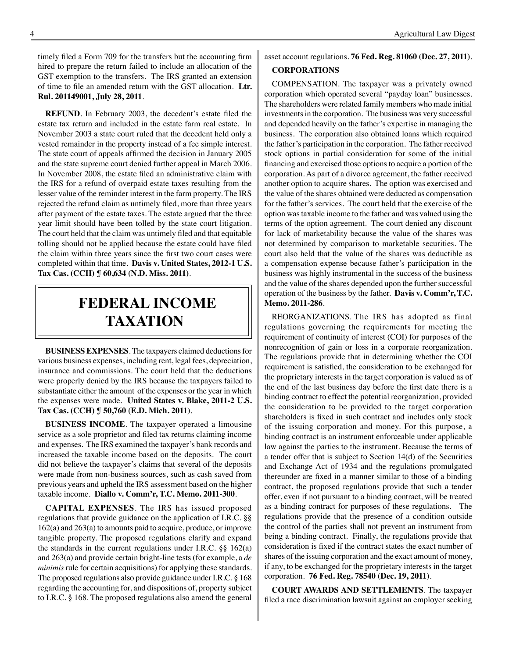timely filed a Form 709 for the transfers but the accounting firm hired to prepare the return failed to include an allocation of the GST exemption to the transfers. The IRS granted an extension of time to file an amended return with the GST allocation. **Ltr. Rul. 201149001, July 28, 2011**.

**REFUND**. In February 2003, the decedent's estate filed the estate tax return and included in the estate farm real estate. In November 2003 a state court ruled that the decedent held only a vested remainder in the property instead of a fee simple interest. The state court of appeals affirmed the decision in January 2005 and the state supreme court denied further appeal in March 2006. In November 2008, the estate filed an administrative claim with the IRS for a refund of overpaid estate taxes resulting from the lesser value of the reminder interest in the farm property. The IRS rejected the refund claim as untimely filed, more than three years after payment of the estate taxes. The estate argued that the three year limit should have been tolled by the state court litigation. The court held that the claim was untimely filed and that equitable tolling should not be applied because the estate could have filed the claim within three years since the first two court cases were completed within that time. **Davis v. United States, 2012-1 U.S. Tax Cas. (CCH) ¶ 60,634 (N.D. Miss. 2011)**.

## **federal income TAXATION**

**BUSINESS EXPENSES**. The taxpayers claimed deductions for various business expenses, including rent, legal fees, depreciation, insurance and commissions. The court held that the deductions were properly denied by the IRS because the taxpayers failed to substantiate either the amount of the expenses or the year in which the expenses were made. **United States v. Blake, 2011-2 U.S. Tax Cas. (CCH) ¶ 50,760 (E.D. Mich. 2011)**.

**BUSINESS INCOME**. The taxpayer operated a limousine service as a sole proprietor and filed tax returns claiming income and expenses. The IRS examined the taxpayer's bank records and increased the taxable income based on the deposits. The court did not believe the taxpayer's claims that several of the deposits were made from non-business sources, such as cash saved from previous years and upheld the IRS assessment based on the higher taxable income. **Diallo v. Comm'r, T.C. Memo. 2011-300**.

**CAPITAL EXPENSES**. The IRS has issued proposed regulations that provide guidance on the application of I.R.C. §§ 162(a) and 263(a) to amounts paid to acquire, produce, or improve tangible property. The proposed regulations clarify and expand the standards in the current regulations under I.R.C. §§ 162(a) and 263(a) and provide certain bright-line tests (for example, a *de minimis* rule for certain acquisitions) for applying these standards. The proposed regulations also provide guidance under I.R.C. § 168 regarding the accounting for, and dispositions of, property subject to I.R.C. § 168. The proposed regulations also amend the general asset account regulations. **76 Fed. Reg. 81060 (Dec. 27, 2011)**.

#### **CORPORATIONS**

COMPENSATION. The taxpayer was a privately owned corporation which operated several "payday loan" businesses. The shareholders were related family members who made initial investments in the corporation. The business was very successful and depended heavily on the father's expertise in managing the business. The corporation also obtained loans which required the father's participation in the corporation. The father received stock options in partial consideration for some of the initial financing and exercised those optionsto acquire a portion of the corporation. As part of a divorce agreement, the father received another option to acquire shares. The option was exercised and the value of the shares obtained were deducted as compensation for the father's services. The court held that the exercise of the option was taxable income to the father and was valued using the terms of the option agreement. The court denied any discount for lack of marketability because the value of the shares was not determined by comparison to marketable securities. The court also held that the value of the shares was deductible as a compensation expense because father's participation in the business was highly instrumental in the success of the business and the value of the shares depended upon the further successful operation of the business by the father. **Davis v. Comm'r, T.C. Memo. 2011-286**.

REORGANIZATIONS. The IRS has adopted as final regulations governing the requirements for meeting the requirement of continuity of interest (COI) for purposes of the nonrecognition of gain or loss in a corporate reorganization. The regulations provide that in determining whether the COI requirement is satisfied, the consideration to be exchanged for the proprietary interests in the target corporation is valued as of the end of the last business day before the first date there is a binding contract to effect the potential reorganization, provided the consideration to be provided to the target corporation shareholders is fixed in such contract and includes only stock of the issuing corporation and money. For this purpose, a binding contract is an instrument enforceable under applicable law against the parties to the instrument. Because the terms of a tender offer that is subject to Section 14(d) of the Securities and Exchange Act of 1934 and the regulations promulgated thereunder are fixed in a manner similar to those of a binding contract, the proposed regulations provide that such a tender offer, even if not pursuant to a binding contract, will be treated as a binding contract for purposes of these regulations. The regulations provide that the presence of a condition outside the control of the parties shall not prevent an instrument from being a binding contract. Finally, the regulations provide that consideration is fixed if the contract states the exact number of shares of the issuing corporation and the exact amount of money, if any, to be exchanged for the proprietary interests in the target corporation. **76 Fed. Reg. 78540 (Dec. 19, 2011)**.

**COURT AWARDS AND SETTLEMENTS**. The taxpayer filed a race discrimination lawsuit against an employer seeking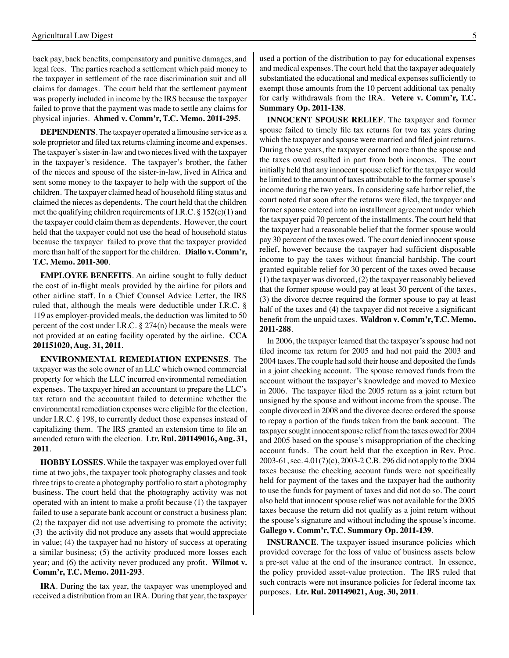back pay, back benefits, compensatory and punitive damages, and legal fees. The parties reached a settlement which paid money to the taxpayer in settlement of the race discrimination suit and all claims for damages. The court held that the settlement payment was properly included in income by the IRS because the taxpayer failed to prove that the payment was made to settle any claims for physical injuries. **Ahmed v. Comm'r, T.C. Memo. 2011-295**.

**DEPENDENTS**. The taxpayer operated a limousine service as a sole proprietor and filed tax returns claiming income and expenses. The taxpayer's sister-in-law and two nieces lived with the taxpayer in the taxpayer's residence. The taxpayer's brother, the father of the nieces and spouse of the sister-in-law, lived in Africa and sent some money to the taxpayer to help with the support of the children. The taxpayer claimed head of household filing status and claimed the nieces as dependents. The court held that the children met the qualifying children requirements of I.R.C. § 152(c)(1) and the taxpayer could claim them as dependents. However, the court held that the taxpayer could not use the head of household status because the taxpayer failed to prove that the taxpayer provided more than half of the support for the children. **Diallo v. Comm'r, T.C. Memo. 2011-300**.

**EMPLOYEE BENEFITS**. An airline sought to fully deduct the cost of in-flight meals provided by the airline for pilots and other airline staff. In a Chief Counsel Advice Letter, the IRS ruled that, although the meals were deductible under I.R.C. § 119 as employer-provided meals, the deduction was limited to 50 percent of the cost under I.R.C.  $\S 274(n)$  because the meals were not provided at an eating facility operated by the airline. **CCA 201151020, Aug. 31, 2011**.

**ENVIRONMENTAL REMEDIATION EXPENSES**. The taxpayer was the sole owner of an LLC which owned commercial property for which the LLC incurred environmental remediation expenses. The taxpayer hired an accountant to prepare the LLC's tax return and the accountant failed to determine whether the environmental remediation expenses were eligible for the election, under I.R.C. § 198, to currently deduct those expenses instead of capitalizing them. The IRS granted an extension time to file an amended return with the election. **Ltr. Rul. 201149016, Aug. 31, 2011**.

**HOBBY LOSSES**. While the taxpayer was employed over full time at two jobs, the taxpayer took photography classes and took three trips to create a photography portfolio to start a photography business. The court held that the photography activity was not operated with an intent to make a profit because (1) the taxpayer failed to use a separate bank account or construct a business plan; (2) the taxpayer did not use advertising to promote the activity; (3) the activity did not produce any assets that would appreciate in value; (4) the taxpayer had no history of success at operating a similar business; (5) the activity produced more losses each year; and (6) the activity never produced any profit. **Wilmot v. Comm'r, T.C. Memo. 2011-293**.

**IRA**. During the tax year, the taxpayer was unemployed and received a distribution from an IRA. During that year, the taxpayer

used a portion of the distribution to pay for educational expenses and medical expenses. The court held that the taxpayer adequately substantiated the educational and medical expenses sufficiently to exempt those amounts from the 10 percent additional tax penalty for early withdrawals from the IRA. **Vetere v. Comm'r, T.C. Summary Op. 2011-138**.

**INNOCENT SPOUSE RELIEF**. The taxpayer and former spouse failed to timely file tax returns for two tax years during which the taxpayer and spouse were married and filed joint returns. During those years, the taxpayer earned more than the spouse and the taxes owed resulted in part from both incomes. The court initially held that any innocent spouse relief for the taxpayer would be limited to the amount of taxes attributable to the former spouse's income during the two years. In considering safe harbor relief, the court noted that soon after the returns were filed, the taxpayer and former spouse entered into an installment agreement under which the taxpayer paid 70 percent of the installments. The court held that the taxpayer had a reasonable belief that the former spouse would pay 30 percent of the taxes owed. The court denied innocent spouse relief, however because the taxpayer had sufficient disposable income to pay the taxes without financial hardship. The court granted equitable relief for 30 percent of the taxes owed because (1) the taxpayer was divorced, (2) the taxpayer reasonably believed that the former spouse would pay at least 30 percent of the taxes, (3) the divorce decree required the former spouse to pay at least half of the taxes and (4) the taxpayer did not receive a significant benefit from the unpaid taxes. **Waldron v. Comm'r, T.C. Memo. 2011-288**.

 In 2006, the taxpayer learned that the taxpayer's spouse had not filed income tax return for 2005 and had not paid the 2003 and 2004 taxes. The couple had sold their house and deposited the funds in a joint checking account. The spouse removed funds from the account without the taxpayer's knowledge and moved to Mexico in 2006. The taxpayer filed the 2005 return as a joint return but unsigned by the spouse and without income from the spouse. The couple divorced in 2008 and the divorce decree ordered the spouse to repay a portion of the funds taken from the bank account. The taxpayer sought innocent spouse relief from the taxes owed for 2004 and 2005 based on the spouse's misappropriation of the checking account funds. The court held that the exception in Rev. Proc. 2003-61, sec. 4.01(7)(c), 2003-2 C.B. 296 did not apply to the 2004 taxes because the checking account funds were not specifically held for payment of the taxes and the taxpayer had the authority to use the funds for payment of taxes and did not do so. The court also held that innocent spouse relief was not available for the 2005 taxes because the return did not qualify as a joint return without the spouse's signature and without including the spouse's income. **Gallego v. Comm'r, T.C. Summary Op. 2011-139**.

**INSURANCE**. The taxpayer issued insurance policies which provided coverage for the loss of value of business assets below a pre-set value at the end of the insurance contract. In essence, the policy provided asset-value protection. The IRS ruled that such contracts were not insurance policies for federal income tax purposes. **Ltr. Rul. 201149021, Aug. 30, 2011**.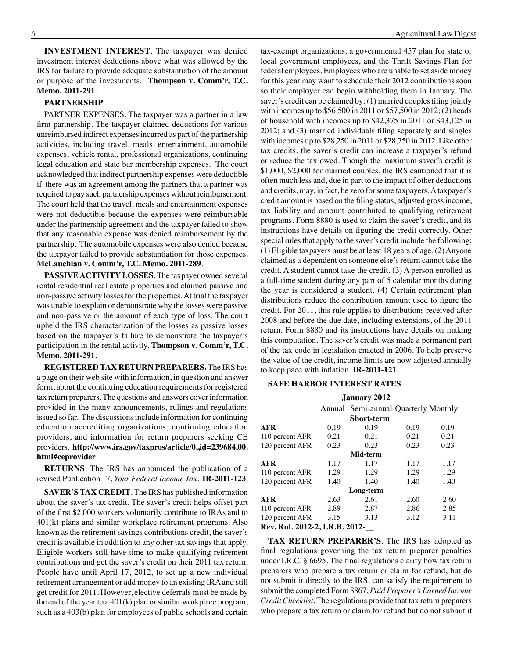**INVESTMENT INTEREST**. The taxpayer was denied investment interest deductions above what was allowed by the IRS for failure to provide adequate substantiation of the amount or purpose of the investments. **Thompson v. Comm'r, T.C. Memo. 2011-291**.

#### **PARTNERSHIP**

PARTNER EXPENSES. The taxpayer was a partner in a law firm partnership. The taxpayer claimed deductions for various unreimbursed indirect expenses incurred as part of the partnership activities, including travel, meals, entertainment, automobile expenses, vehicle rental, professional organizations, continuing legal education and state bar membership expenses. The court acknowledged that indirect partnership expenses were deductible if there was an agreement among the partners that a partner was required to pay such partnership expenses without reimbursement. The court held that the travel, meals and entertainment expenses were not deductible because the expenses were reimbursable under the partnership agreement and the taxpayer failed to show that any reasonable expense was denied reimbursement by the partnership. The automobile expenses were also denied because the taxpayer failed to provide substantiation for those expenses. **McLauchlan v. Comm'r, T.C. Memo. 2011-289**.

**PASSIVE ACTIVITY LOSSES**. The taxpayer owned several rental residential real estate properties and claimed passive and non-passive activity losses for the properties. At trial the taxpayer was unable to explain or demonstrate why the losses were passive and non-passive or the amount of each type of loss. The court upheld the IRS characterization of the losses as passive losses based on the taxpayer's failure to demonstrate the taxpayer's participation in the rental activity. **Thompson v. Comm'r, T.C. Memo. 2011-291.**

**REGISTERED TAX RETURN PREPARERS.** The IRS has a page on their web site with information, in question and answer form, about the continuing education requirements for registered tax return preparers. The questions and answers cover information provided in the many announcements, rulings and regulations issued so far. The discussions include information for continuing education accrediting organizations, continuing education providers, and information for return preparers seeking CE providers. **http://www.irs.gov/taxpros/article/0,,id=239684,00. html#ceprovider**

**RETURNS**. The IRS has announced the publication of a revised Publication 17, *Your Federal Income Tax*. **IR-2011-123**.

**SAVER'S TAX CREDIT**. The IRS has published information about the saver's tax credit. The saver's credit helps offset part of the first \$2,000 workers voluntarily contribute to IRAs and to 401(k) plans and similar workplace retirement programs. Also known as the retirement savings contributions credit, the saver's credit is available in addition to any other tax savings that apply. Eligible workers still have time to make qualifying retirement contributions and get the saver's credit on their 2011 tax return. People have until April 17, 2012, to set up a new individual retirement arrangement or add money to an existing IRA and still get credit for 2011. However, elective deferrals must be made by the end of the year to a 401(k) plan or similar workplace program, such as a 403(b) plan for employees of public schools and certain

tax-exempt organizations, a governmental 457 plan for state or local government employees, and the Thrift Savings Plan for federal employees. Employees who are unable to set aside money for this year may want to schedule their 2012 contributions soon so their employer can begin withholding them in January. The saver's credit can be claimed by: (1) married couples filing jointly with incomes up to \$56,500 in 2011 or \$57,500 in 2012; (2) heads of household with incomes up to \$42,375 in 2011 or \$43,125 in 2012; and (3) married individuals filing separately and singles with incomes up to \$28,250 in 2011 or \$28,750 in 2012. Like other tax credits, the saver's credit can increase a taxpayer's refund or reduce the tax owed. Though the maximum saver's credit is \$1,000, \$2,000 for married couples, the IRS cautioned that it is often much less and, due in part to the impact of other deductions and credits, may, in fact, be zero forsome taxpayers.Ataxpayer's credit amount is based on the filing status, adjusted gross income, tax liability and amount contributed to qualifying retirement programs. Form 8880 is used to claim the saver's credit, and its instructions have details on figuring the credit correctly. Other special rules that apply to the saver's credit include the following: (1) Eligible taxpayers must be at least 18 years of age. (2) Anyone claimed as a dependent on someone else's return cannot take the credit. A student cannot take the credit. (3) A person enrolled as a full-time student during any part of 5 calendar months during the year is considered a student. (4) Certain retirement plan distributions reduce the contribution amount used to figure the credit. For 2011, this rule applies to distributions received after 2008 and before the due date, including extensions, of the 2011 return. Form 8880 and its instructions have details on making this computation. The saver's credit was made a permanent part of the tax code in legislation enacted in 2006. To help preserve the value of the credit, income limits are now adjusted annually to keep pace with inflation. **IR-2011-121**.

#### **Safe Harbor interestrates**

| <b>January 2012</b>                                              |      |                                      |      |      |  |  |  |  |  |
|------------------------------------------------------------------|------|--------------------------------------|------|------|--|--|--|--|--|
|                                                                  |      | Annual Semi-annual Quarterly Monthly |      |      |  |  |  |  |  |
| Short-term                                                       |      |                                      |      |      |  |  |  |  |  |
| <b>AFR</b>                                                       | 0.19 | 0.19                                 | 0.19 | 0.19 |  |  |  |  |  |
| 110 percent AFR                                                  | 0.21 | 0.21                                 | 0.21 | 0.21 |  |  |  |  |  |
| 120 percent AFR                                                  | 0.23 | 0.23                                 | 0.23 | 0.23 |  |  |  |  |  |
| Mid-term                                                         |      |                                      |      |      |  |  |  |  |  |
| <b>AFR</b>                                                       | 1.17 | 1.17                                 | 1.17 | 1.17 |  |  |  |  |  |
| 110 percent AFR                                                  | 1.29 | 1.29                                 | 1.29 | 1.29 |  |  |  |  |  |
| 120 percent AFR                                                  | 1.40 | 1.40                                 | 1.40 | 1.40 |  |  |  |  |  |
| Long-term                                                        |      |                                      |      |      |  |  |  |  |  |
| <b>AFR</b>                                                       | 2.63 | 2.61                                 | 2.60 | 2.60 |  |  |  |  |  |
| 110 percent AFR                                                  | 2.89 | 2.87                                 | 2.86 | 2.85 |  |  |  |  |  |
| 120 percent AFR                                                  | 3.15 | 3.13                                 | 3.12 | 3.11 |  |  |  |  |  |
| $\mathbf{r}$ $\mathbf{r}$ $\mathbf{r}$ $\mathbf{r}$ $\mathbf{r}$ | ---  | ----                                 |      |      |  |  |  |  |  |

**Rev. Rul. 2012-2, I.R.B. 2012-\_\_** .

**TAX RETURN PREPARER'S**. The IRS has adopted as final regulations governing the tax return preparer penalties under I.R.C. § 6695. The final regulations clarify how tax return preparers who prepare a tax return or claim for refund, but do not submit it directly to the IRS, can satisfy the requirement to submit the completed Form 8867, *Paid Preparer's Earned Income Credit Checklist*. The regulations provide that tax return preparers who prepare a tax return or claim for refund but do not submit it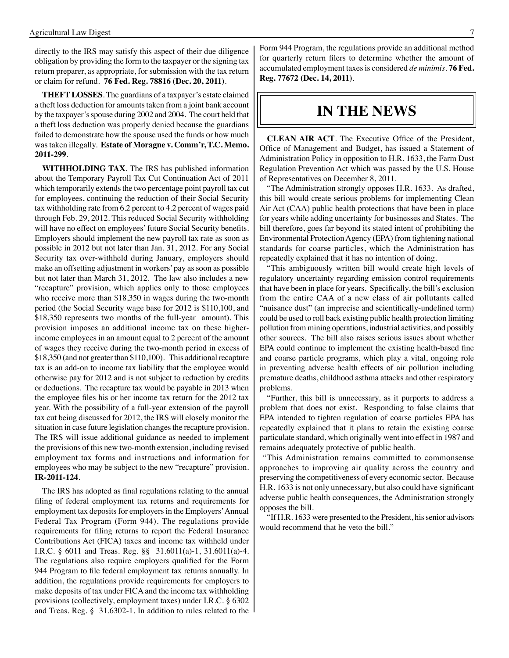directly to the IRS may satisfy this aspect of their due diligence obligation by providing the form to the taxpayer or the signing tax return preparer, as appropriate, for submission with the tax return or claim for refund. **76 Fed. Reg. 78816 (Dec. 20, 2011)**.

**THEFT LOSSES**. The guardians of a taxpayer's estate claimed a theft loss deduction for amounts taken from a joint bank account by the taxpayer's spouse during 2002 and 2004. The court held that a theft loss deduction was properly denied because the guardians failed to demonstrate how the spouse used the funds or how much was taken illegally. **Estate of Moragne v. Comm'r, T.C. Memo. 2011-299**.

**WITHHOLDING TAX**. The IRS has published information about the Temporary Payroll Tax Cut Continuation Act of 2011 which temporarily extends the two percentage point payroll tax cut for employees, continuing the reduction of their Social Security tax withholding rate from 6.2 percent to 4.2 percent of wages paid through Feb. 29, 2012. This reduced Social Security withholding will have no effect on employees' future Social Security benefits. Employers should implement the new payroll tax rate as soon as possible in 2012 but not later than Jan. 31, 2012. For any Social Security tax over-withheld during January, employers should make an offsetting adjustment in workers' pay as soon as possible but not later than March 31, 2012. The law also includes a new "recapture" provision, which applies only to those employees who receive more than \$18,350 in wages during the two-month period (the Social Security wage base for 2012 is \$110,100, and \$18,350 represents two months of the full-year amount). This provision imposes an additional income tax on these higherincome employees in an amount equal to 2 percent of the amount of wages they receive during the two-month period in excess of \$18,350 (and not greater than \$110,100). This additional recapture tax is an add-on to income tax liability that the employee would otherwise pay for 2012 and is not subject to reduction by credits or deductions. The recapture tax would be payable in 2013 when the employee files his or her income tax return for the 2012 tax year. With the possibility of a full-year extension of the payroll tax cut being discussed for 2012, the IRS will closely monitor the situation in case future legislation changes the recapture provision. The IRS will issue additional guidance as needed to implement the provisions of this new two-month extension, including revised employment tax forms and instructions and information for employees who may be subject to the new "recapture" provision. **IR-2011-124**.

 The IRS has adopted as final regulations relating to the annual filing of federal employment tax returns and requirements for employment tax deposits for employers in the Employers' Annual Federal Tax Program (Form 944). The regulations provide requirements for filing returns to report the Federal Insurance Contributions Act (FICA) taxes and income tax withheld under I.R.C. § 6011 and Treas. Reg. §§ 31.6011(a)-1, 31.6011(a)-4. The regulations also require employers qualified for the Form 944 Program to file federal employment tax returns annually. In addition, the regulations provide requirements for employers to make deposits of tax under FICA and the income tax withholding provisions (collectively, employment taxes) under I.R.C. § 6302 and Treas. Reg. § 31.6302-1. In addition to rules related to the Form 944 Program, the regulations provide an additional method for quarterly return filers to determine whether the amount of accumulated employment taxes is considered *de minimis*. **76 Fed. Reg. 77672 (Dec. 14, 2011)**.

### **IN THE NEWS**

**CLEAN AIR ACT**. The Executive Office of the President, Office of Management and Budget, has issued a Statement of Administration Policy in opposition to H.R. 1633, the Farm Dust Regulation Prevention Act which was passed by the U.S. House of Representatives on December 8, 2011.

"The Administration strongly opposes H.R. 1633. As drafted, this bill would create serious problems for implementing Clean Air Act (CAA) public health protections that have been in place for years while adding uncertainty for businesses and States. The bill therefore, goes far beyond its stated intent of prohibiting the Environmental Protection Agency (EPA) from tightening national standards for coarse particles, which the Administration has repeatedly explained that it has no intention of doing.

"This ambiguously written bill would create high levels of regulatory uncertainty regarding emission control requirements that have been in place for years. Specifically, the bill's exclusion from the entire CAA of a new class of air pollutants called "nuisance dust" (an imprecise and scientifically-undefined term) could be used to roll back existing public health protection limiting pollution from mining operations, industrial activities, and possibly other sources. The bill also raises serious issues about whether EPA could continue to implement the existing health-based fine and coarse particle programs, which play a vital, ongoing role in preventing adverse health effects of air pollution including premature deaths, childhood asthma attacks and other respiratory problems.

"Further, this bill is unnecessary, as it purports to address a problem that does not exist. Responding to false claims that EPA intended to tighten regulation of coarse particles EPA has repeatedly explained that it plans to retain the existing coarse particulate standard, which originally went into effect in 1987 and remains adequately protective of public health.

 "This Administration remains committed to commonsense approaches to improving air quality across the country and preserving the competitiveness of every economic sector. Because H.R. 1633 is not only unnecessary, but also could have significant adverse public health consequences, the Administration strongly opposes the bill.

"If H.R. 1633 were presented to the President, his senior advisors would recommend that he veto the bill."